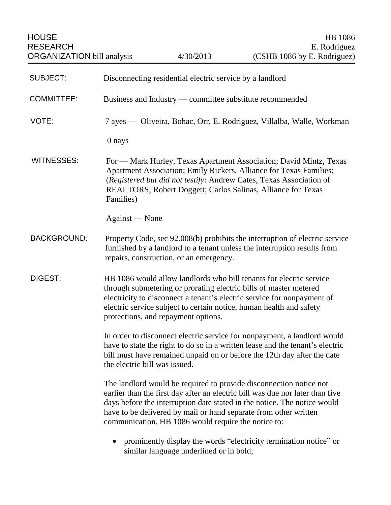| <b>SUBJECT:</b>    | Disconnecting residential electric service by a landlord                                                                                                                                                                                                                                                                                                   |
|--------------------|------------------------------------------------------------------------------------------------------------------------------------------------------------------------------------------------------------------------------------------------------------------------------------------------------------------------------------------------------------|
| <b>COMMITTEE:</b>  | Business and Industry — committee substitute recommended                                                                                                                                                                                                                                                                                                   |
| VOTE:              | 7 ayes — Oliveira, Bohac, Orr, E. Rodriguez, Villalba, Walle, Workman                                                                                                                                                                                                                                                                                      |
|                    | 0 nays                                                                                                                                                                                                                                                                                                                                                     |
| <b>WITNESSES:</b>  | For — Mark Hurley, Texas Apartment Association; David Mintz, Texas<br>Apartment Association; Emily Rickers, Alliance for Texas Families;<br>(Registered but did not testify: Andrew Cates, Texas Association of<br>REALTORS; Robert Doggett; Carlos Salinas, Alliance for Texas<br>Families)                                                               |
|                    | Against — None                                                                                                                                                                                                                                                                                                                                             |
| <b>BACKGROUND:</b> | Property Code, sec 92.008(b) prohibits the interruption of electric service<br>furnished by a landlord to a tenant unless the interruption results from<br>repairs, construction, or an emergency.                                                                                                                                                         |
| <b>DIGEST:</b>     | HB 1086 would allow landlords who bill tenants for electric service<br>through submetering or prorating electric bills of master metered<br>electricity to disconnect a tenant's electric service for nonpayment of<br>electric service subject to certain notice, human health and safety<br>protections, and repayment options.                          |
|                    | In order to disconnect electric service for nonpayment, a landlord would<br>have to state the right to do so in a written lease and the tenant's electric<br>bill must have remained unpaid on or before the 12th day after the date<br>the electric bill was issued.                                                                                      |
|                    | The landlord would be required to provide disconnection notice not<br>earlier than the first day after an electric bill was due nor later than five<br>days before the interruption date stated in the notice. The notice would<br>have to be delivered by mail or hand separate from other written<br>communication. HB 1086 would require the notice to: |
|                    | prominently display the words "electricity termination notice" or<br>$\bullet$<br>similar language underlined or in bold;                                                                                                                                                                                                                                  |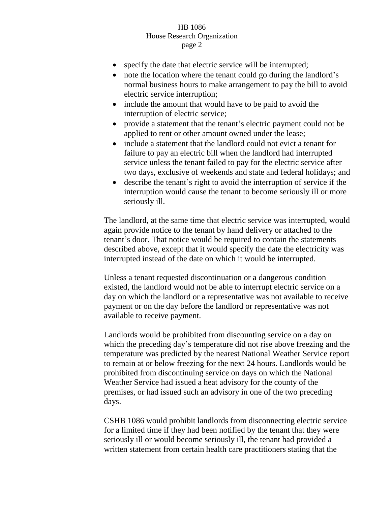- specify the date that electric service will be interrupted;
- note the location where the tenant could go during the landlord's normal business hours to make arrangement to pay the bill to avoid electric service interruption;
- include the amount that would have to be paid to avoid the interruption of electric service;
- provide a statement that the tenant's electric payment could not be applied to rent or other amount owned under the lease;
- include a statement that the landlord could not evict a tenant for failure to pay an electric bill when the landlord had interrupted service unless the tenant failed to pay for the electric service after two days, exclusive of weekends and state and federal holidays; and
- describe the tenant's right to avoid the interruption of service if the interruption would cause the tenant to become seriously ill or more seriously ill.

The landlord, at the same time that electric service was interrupted, would again provide notice to the tenant by hand delivery or attached to the tenant's door. That notice would be required to contain the statements described above, except that it would specify the date the electricity was interrupted instead of the date on which it would be interrupted.

Unless a tenant requested discontinuation or a dangerous condition existed, the landlord would not be able to interrupt electric service on a day on which the landlord or a representative was not available to receive payment or on the day before the landlord or representative was not available to receive payment.

Landlords would be prohibited from discounting service on a day on which the preceding day's temperature did not rise above freezing and the temperature was predicted by the nearest National Weather Service report to remain at or below freezing for the next 24 hours. Landlords would be prohibited from discontinuing service on days on which the National Weather Service had issued a heat advisory for the county of the premises, or had issued such an advisory in one of the two preceding days.

CSHB 1086 would prohibit landlords from disconnecting electric service for a limited time if they had been notified by the tenant that they were seriously ill or would become seriously ill, the tenant had provided a written statement from certain health care practitioners stating that the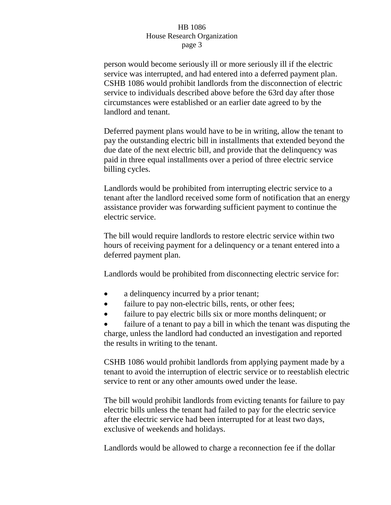person would become seriously ill or more seriously ill if the electric service was interrupted, and had entered into a deferred payment plan. CSHB 1086 would prohibit landlords from the disconnection of electric service to individuals described above before the 63rd day after those circumstances were established or an earlier date agreed to by the landlord and tenant.

Deferred payment plans would have to be in writing, allow the tenant to pay the outstanding electric bill in installments that extended beyond the due date of the next electric bill, and provide that the delinquency was paid in three equal installments over a period of three electric service billing cycles.

Landlords would be prohibited from interrupting electric service to a tenant after the landlord received some form of notification that an energy assistance provider was forwarding sufficient payment to continue the electric service.

The bill would require landlords to restore electric service within two hours of receiving payment for a delinquency or a tenant entered into a deferred payment plan.

Landlords would be prohibited from disconnecting electric service for:

- a delinquency incurred by a prior tenant;
- failure to pay non-electric bills, rents, or other fees;
- failure to pay electric bills six or more months delinquent; or

 failure of a tenant to pay a bill in which the tenant was disputing the charge, unless the landlord had conducted an investigation and reported the results in writing to the tenant.

CSHB 1086 would prohibit landlords from applying payment made by a tenant to avoid the interruption of electric service or to reestablish electric service to rent or any other amounts owed under the lease.

The bill would prohibit landlords from evicting tenants for failure to pay electric bills unless the tenant had failed to pay for the electric service after the electric service had been interrupted for at least two days, exclusive of weekends and holidays.

Landlords would be allowed to charge a reconnection fee if the dollar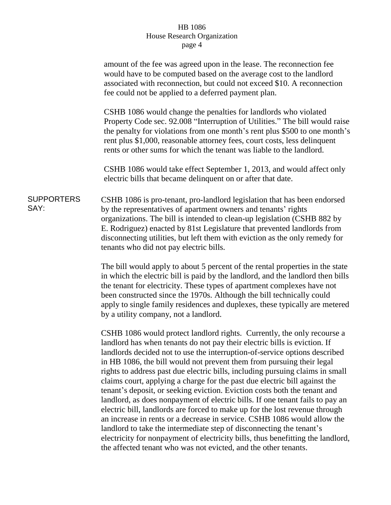|                           | amount of the fee was agreed upon in the lease. The reconnection fee<br>would have to be computed based on the average cost to the landlord<br>associated with reconnection, but could not exceed \$10. A reconnection<br>fee could not be applied to a deferred payment plan.                                                                                                                                                                                                                                                                                                                                                                                                                                                                                                                                                                                                                                                                                 |
|---------------------------|----------------------------------------------------------------------------------------------------------------------------------------------------------------------------------------------------------------------------------------------------------------------------------------------------------------------------------------------------------------------------------------------------------------------------------------------------------------------------------------------------------------------------------------------------------------------------------------------------------------------------------------------------------------------------------------------------------------------------------------------------------------------------------------------------------------------------------------------------------------------------------------------------------------------------------------------------------------|
|                           | CSHB 1086 would change the penalties for landlords who violated<br>Property Code sec. 92.008 "Interruption of Utilities." The bill would raise<br>the penalty for violations from one month's rent plus \$500 to one month's<br>rent plus \$1,000, reasonable attorney fees, court costs, less delinquent<br>rents or other sums for which the tenant was liable to the landlord.                                                                                                                                                                                                                                                                                                                                                                                                                                                                                                                                                                              |
|                           | CSHB 1086 would take effect September 1, 2013, and would affect only<br>electric bills that became delinquent on or after that date.                                                                                                                                                                                                                                                                                                                                                                                                                                                                                                                                                                                                                                                                                                                                                                                                                           |
| <b>SUPPORTERS</b><br>SAY: | CSHB 1086 is pro-tenant, pro-landlord legislation that has been endorsed<br>by the representatives of apartment owners and tenants' rights<br>organizations. The bill is intended to clean-up legislation (CSHB 882 by<br>E. Rodriguez) enacted by 81st Legislature that prevented landlords from<br>disconnecting utilities, but left them with eviction as the only remedy for<br>tenants who did not pay electric bills.                                                                                                                                                                                                                                                                                                                                                                                                                                                                                                                                    |
|                           | The bill would apply to about 5 percent of the rental properties in the state<br>in which the electric bill is paid by the landlord, and the landlord then bills<br>the tenant for electricity. These types of apartment complexes have not<br>been constructed since the 1970s. Although the bill technically could<br>apply to single family residences and duplexes, these typically are metered<br>by a utility company, not a landlord.                                                                                                                                                                                                                                                                                                                                                                                                                                                                                                                   |
|                           | CSHB 1086 would protect landlord rights. Currently, the only recourse a<br>landlord has when tenants do not pay their electric bills is eviction. If<br>landlords decided not to use the interruption-of-service options described<br>in HB 1086, the bill would not prevent them from pursuing their legal<br>rights to address past due electric bills, including pursuing claims in small<br>claims court, applying a charge for the past due electric bill against the<br>tenant's deposit, or seeking eviction. Eviction costs both the tenant and<br>landlord, as does nonpayment of electric bills. If one tenant fails to pay an<br>electric bill, landlords are forced to make up for the lost revenue through<br>an increase in rents or a decrease in service. CSHB 1086 would allow the<br>landlord to take the intermediate step of disconnecting the tenant's<br>electricity for nonpayment of electricity bills, thus benefitting the landlord, |

the affected tenant who was not evicted, and the other tenants.